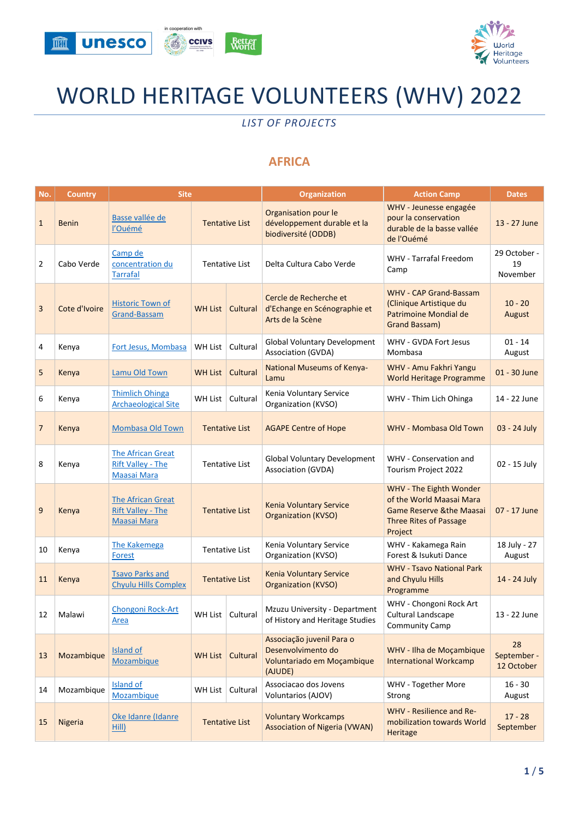



# WORLD HERITAGE VOLUNTEERS (WHV) 2022

*LIST OF PROJECTS*

## **AFRICA**

| No.            | <b>Country</b> | <b>Site</b>                                                                |                       |                       | <b>Organization</b>                                                                      | <b>Action Camp</b>                                                                                                                     | <b>Dates</b>                    |
|----------------|----------------|----------------------------------------------------------------------------|-----------------------|-----------------------|------------------------------------------------------------------------------------------|----------------------------------------------------------------------------------------------------------------------------------------|---------------------------------|
| $\mathbf{1}$   | <b>Benin</b>   | Basse vallée de<br>l'Ouémé                                                 |                       | <b>Tentative List</b> | Organisation pour le<br>développement durable et la<br>biodiversité (ODDB)               | WHV - Jeunesse engagée<br>pour la conservation<br>durable de la basse vallée<br>de l'Ouémé                                             | 13 - 27 June                    |
| $\overline{2}$ | Cabo Verde     | Camp de<br>concentration du<br><b>Tarrafal</b>                             |                       | <b>Tentative List</b> | Delta Cultura Cabo Verde                                                                 | <b>WHV - Tarrafal Freedom</b><br>Camp                                                                                                  | 29 October -<br>19<br>November  |
| 3              | Cote d'Ivoire  | <b>Historic Town of</b><br><b>Grand-Bassam</b>                             | <b>WH List</b>        | Cultural              | Cercle de Recherche et<br>d'Echange en Scénographie et<br>Arts de la Scène               | <b>WHV - CAP Grand-Bassam</b><br>(Clinique Artistique du<br>Patrimoine Mondial de<br>Grand Bassam)                                     | $10 - 20$<br>August             |
| 4              | Kenya          | Fort Jesus, Mombasa                                                        | <b>WH List</b>        | Cultural              | <b>Global Voluntary Development</b><br>Association (GVDA)                                | WHV - GVDA Fort Jesus<br>Mombasa                                                                                                       | $01 - 14$<br>August             |
| 5              | Kenya          | Lamu Old Town                                                              | <b>WH List</b>        | Cultural              | <b>National Museums of Kenya-</b><br>Lamu                                                | WHV - Amu Fakhri Yangu<br>World Heritage Programme                                                                                     | 01 - 30 June                    |
| 6              | Kenya          | <b>Thimlich Ohinga</b><br><b>Archaeological Site</b>                       |                       | WH List   Cultural    | Kenia Voluntary Service<br>Organization (KVSO)                                           | WHV - Thim Lich Ohinga                                                                                                                 | 14 - 22 June                    |
| $\overline{7}$ | Kenya          | <b>Mombasa Old Town</b>                                                    |                       | <b>Tentative List</b> | <b>AGAPE Centre of Hope</b>                                                              | <b>WHV - Mombasa Old Town</b>                                                                                                          | 03 - 24 July                    |
| 8              | Kenya          | <b>The African Great</b><br><b>Rift Valley - The</b><br><b>Maasai Mara</b> | <b>Tentative List</b> |                       | <b>Global Voluntary Development</b><br>Association (GVDA)                                | WHV - Conservation and<br>Tourism Project 2022                                                                                         | 02 - 15 July                    |
| 9              | Kenya          | <b>The African Great</b><br><b>Rift Valley - The</b><br><b>Maasai Mara</b> |                       | <b>Tentative List</b> | Kenia Voluntary Service<br><b>Organization (KVSO)</b>                                    | WHV - The Eighth Wonder<br>of the World Maasai Mara<br><b>Game Reserve &amp;the Maasai</b><br><b>Three Rites of Passage</b><br>Project | 07 - 17 June                    |
| 10             | Kenya          | The Kakemega<br><b>Forest</b>                                              |                       | <b>Tentative List</b> | Kenia Voluntary Service<br>Organization (KVSO)                                           | WHV - Kakamega Rain<br>Forest & Isukuti Dance                                                                                          | 18 July - 27<br>August          |
| 11             | Kenya          | <b>Tsavo Parks and</b><br><b>Chyulu Hills Complex</b>                      |                       | <b>Tentative List</b> | <b>Kenia Voluntary Service</b><br><b>Organization (KVSO)</b>                             | <b>WHV - Tsavo National Park</b><br>and Chyulu Hills<br>Programme                                                                      | 14 - 24 July                    |
| 12             | Malawi         | Chongoni Rock-Art<br><b>Area</b>                                           |                       | WH List   Cultural    | Mzuzu University - Department<br>of History and Heritage Studies                         | WHV - Chongoni Rock Art<br>Cultural Landscape<br><b>Community Camp</b>                                                                 | 13 - 22 June                    |
| 13             | Mozambique     | <b>Island of</b><br><b>Mozambique</b>                                      | <b>WH List</b>        | Cultural              | Associação juvenil Para o<br>Desenvolvimento do<br>Voluntariado em Moçambique<br>(AJUDE) | WHV - Ilha de Moçambique<br><b>International Workcamp</b>                                                                              | 28<br>September -<br>12 October |
| 14             | Mozambique     | Island of<br>Mozambique                                                    | WH List               | Cultural              | Associacao dos Jovens<br>Voluntarios (AJOV)                                              | WHV - Together More<br>Strong                                                                                                          | $16 - 30$<br>August             |
| 15             | Nigeria        | Oke Idanre (Idanre<br>Hill)                                                |                       | <b>Tentative List</b> | <b>Voluntary Workcamps</b><br><b>Association of Nigeria (VWAN)</b>                       | <b>WHV - Resilience and Re-</b><br>mobilization towards World<br>Heritage                                                              | $17 - 28$<br>September          |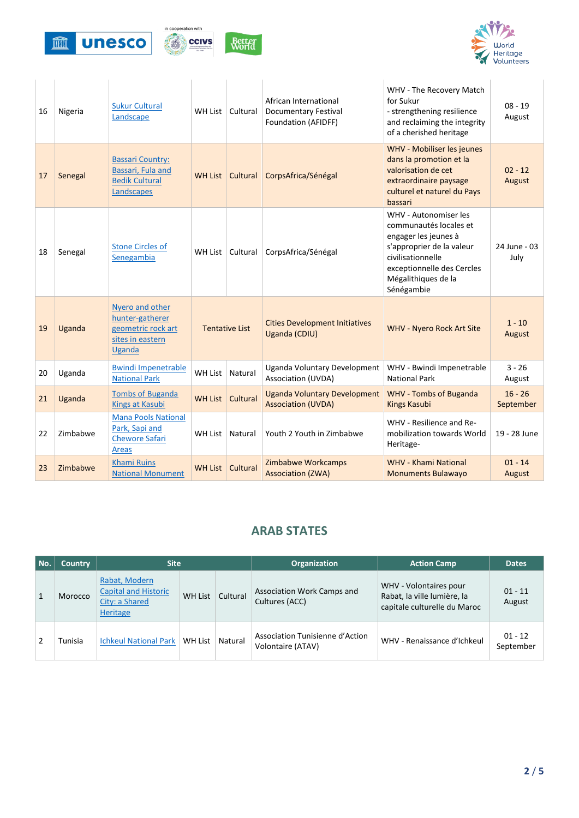



| 16 | Nigeria  | <b>Sukur Cultural</b><br>Landscape                                                            | WH List               | Cultural | African International<br><b>Documentary Festival</b><br>Foundation (AFIDFF) | WHV - The Recovery Match<br>for Sukur<br>- strengthening resilience<br>and reclaiming the integrity<br>of a cherished heritage                                                               | $08 - 19$<br>August    |
|----|----------|-----------------------------------------------------------------------------------------------|-----------------------|----------|-----------------------------------------------------------------------------|----------------------------------------------------------------------------------------------------------------------------------------------------------------------------------------------|------------------------|
| 17 | Senegal  | <b>Bassari Country:</b><br>Bassari, Fula and<br><b>Bedik Cultural</b><br>Landscapes           | <b>WH List</b>        | Cultural | CorpsAfrica/Sénégal                                                         | WHV - Mobiliser les jeunes<br>dans la promotion et la<br>valorisation de cet<br>extraordinaire paysage<br>culturel et naturel du Pays<br>bassari                                             | $02 - 12$<br>August    |
| 18 | Senegal  | <b>Stone Circles of</b><br>Senegambia                                                         | WH List               | Cultural | CorpsAfrica/Sénégal                                                         | WHV - Autonomiser les<br>communautés locales et<br>engager les jeunes à<br>s'approprier de la valeur<br>civilisationnelle<br>exceptionnelle des Cercles<br>Mégalithiques de la<br>Sénégambie | 24 June - 03<br>July   |
| 19 | Uganda   | Nyero and other<br>hunter-gatherer<br>geometric rock art<br>sites in eastern<br><b>Uganda</b> | <b>Tentative List</b> |          | <b>Cities Development Initiatives</b><br>Uganda (CDIU)                      | <b>WHV - Nyero Rock Art Site</b>                                                                                                                                                             | $1 - 10$<br>August     |
| 20 | Uganda   | <b>Bwindi Impenetrable</b><br><b>National Park</b>                                            | WH List               | Natural  | Uganda Voluntary Development<br><b>Association (UVDA)</b>                   | WHV - Bwindi Impenetrable<br><b>National Park</b>                                                                                                                                            | $3 - 26$<br>August     |
| 21 | Uganda   | <b>Tombs of Buganda</b><br><b>Kings at Kasubi</b>                                             | <b>WH List</b>        | Cultural | <b>Uganda Voluntary Development</b><br><b>Association (UVDA)</b>            | <b>WHV - Tombs of Buganda</b><br><b>Kings Kasubi</b>                                                                                                                                         | $16 - 26$<br>September |
| 22 | Zimbabwe | <b>Mana Pools National</b><br>Park, Sapi and<br><b>Chewore Safari</b><br><b>Areas</b>         | WH List               | Natural  | Youth 2 Youth in Zimbabwe                                                   | WHV - Resilience and Re-<br>mobilization towards World<br>Heritage-                                                                                                                          | 19 - 28 June           |
| 23 | Zimbabwe | <b>Khami Ruins</b><br><b>National Monument</b>                                                | <b>WH List</b>        | Cultural | Zimbabwe Workcamps<br><b>Association (ZWA)</b>                              | <b>WHV - Khami National</b><br><b>Monuments Bulawayo</b>                                                                                                                                     | $01 - 14$<br>August    |

#### **ARAB STATES**

| No.          | <b>Country</b> | <b>Site</b>                                                                |                |          | <b>Organization</b>                                  | <b>Action Camp</b>                                                                    | <b>Dates</b>           |
|--------------|----------------|----------------------------------------------------------------------------|----------------|----------|------------------------------------------------------|---------------------------------------------------------------------------------------|------------------------|
| $\mathbf{1}$ | Morocco        | Rabat, Modern<br><b>Capital and Historic</b><br>City: a Shared<br>Heritage | <b>WH List</b> | Cultural | <b>Association Work Camps and</b><br>Cultures (ACC)  | WHV - Volontaires pour<br>Rabat, la ville lumière, la<br>capitale culturelle du Maroc | $01 - 11$<br>August    |
|              | Tunisia        | <b>Ichkeul National Park</b>                                               | WH List        | Natural  | Association Tunisienne d'Action<br>Volontaire (ATAV) | WHV - Renaissance d'Ichkeul                                                           | $01 - 12$<br>September |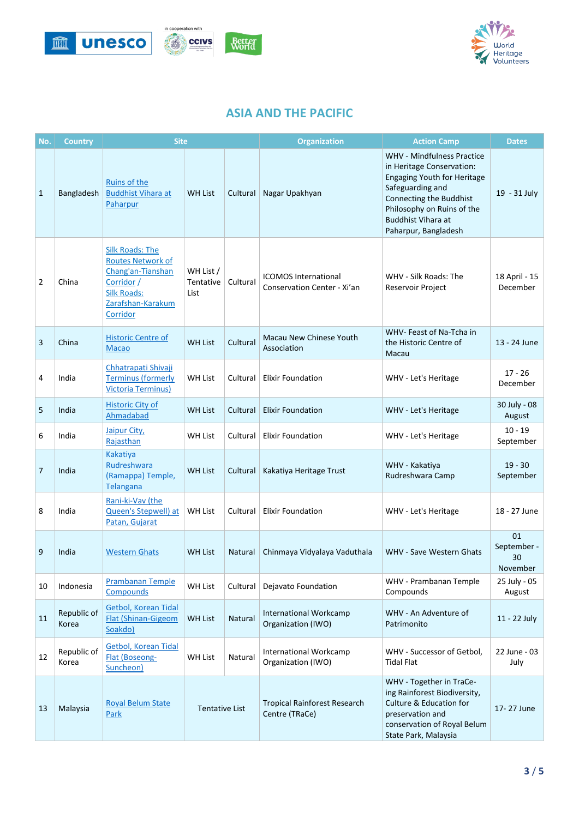



#### **ASIA AND THE PACIFIC**

| No.            | <b>Country</b>       | <b>Site</b>                                                                                                                                  |                                |          | <b>Organization</b>                                        | <b>Action Camp</b>                                                                                                                                                                                                                     | <b>Dates</b>                        |
|----------------|----------------------|----------------------------------------------------------------------------------------------------------------------------------------------|--------------------------------|----------|------------------------------------------------------------|----------------------------------------------------------------------------------------------------------------------------------------------------------------------------------------------------------------------------------------|-------------------------------------|
| 1              | Bangladesh           | Ruins of the<br><b>Buddhist Vihara at</b><br>Paharpur                                                                                        | <b>WH List</b>                 | Cultural | Nagar Upakhyan                                             | <b>WHV - Mindfulness Practice</b><br>in Heritage Conservation:<br><b>Engaging Youth for Heritage</b><br>Safeguarding and<br>Connecting the Buddhist<br>Philosophy on Ruins of the<br><b>Buddhist Vihara at</b><br>Paharpur, Bangladesh | 19 - 31 July                        |
| $\overline{2}$ | China                | <b>Silk Roads: The</b><br><b>Routes Network of</b><br>Chang'an-Tianshan<br>Corridor /<br><b>Silk Roads:</b><br>Zarafshan-Karakum<br>Corridor | WH List /<br>Tentative<br>List | Cultural | <b>ICOMOS International</b><br>Conservation Center - Xi'an | WHV - Silk Roads: The<br>Reservoir Project                                                                                                                                                                                             | 18 April - 15<br>December           |
| 3              | China                | <b>Historic Centre of</b><br><b>Macao</b>                                                                                                    | <b>WH List</b>                 | Cultural | Macau New Chinese Youth<br>Association                     | WHV- Feast of Na-Tcha in<br>the Historic Centre of<br>Macau                                                                                                                                                                            | 13 - 24 June                        |
| 4              | India                | Chhatrapati Shivaji<br><b>Terminus (formerly</b><br><b>Victoria Terminus)</b>                                                                | <b>WH List</b>                 | Cultural | <b>Elixir Foundation</b>                                   | WHV - Let's Heritage                                                                                                                                                                                                                   | $17 - 26$<br>December               |
| 5              | India                | <b>Historic City of</b><br>Ahmadabad                                                                                                         | <b>WH List</b>                 | Cultural | <b>Elixir Foundation</b>                                   | WHV - Let's Heritage                                                                                                                                                                                                                   | 30 July - 08<br>August              |
| 6              | India                | Jaipur City,<br>Rajasthan                                                                                                                    | <b>WH List</b>                 | Cultural | <b>Elixir Foundation</b>                                   | WHV - Let's Heritage                                                                                                                                                                                                                   | $10 - 19$<br>September              |
| $\overline{7}$ | India                | <b>Kakatiya</b><br>Rudreshwara<br>(Ramappa) Temple,<br>Telangana                                                                             | <b>WH List</b>                 | Cultural | Kakatiya Heritage Trust                                    | WHV - Kakatiya<br>Rudreshwara Camp                                                                                                                                                                                                     | $19 - 30$<br>September              |
| 8              | India                | Rani-ki-Vav (the<br>Queen's Stepwell) at<br>Patan, Gujarat                                                                                   | <b>WH List</b>                 | Cultural | <b>Elixir Foundation</b>                                   | WHV - Let's Heritage                                                                                                                                                                                                                   | 18 - 27 June                        |
| 9              | India                | <b>Western Ghats</b>                                                                                                                         | <b>WH List</b>                 | Natural  | Chinmaya Vidyalaya Vaduthala                               | <b>WHV - Save Western Ghats</b>                                                                                                                                                                                                        | 01<br>September -<br>30<br>November |
| 10             | Indonesia            | <b>Prambanan Temple</b><br>Compounds                                                                                                         | <b>WH List</b>                 | Cultural | Dejavato Foundation                                        | WHV - Prambanan Temple<br>Compounds                                                                                                                                                                                                    | 25 July - 05<br>August              |
| 11             | Republic of<br>Korea | Getbol, Korean Tidal<br>Flat (Shinan-Gigeom<br>Soakdo)                                                                                       | <b>WH List</b>                 | Natural  | <b>International Workcamp</b><br>Organization (IWO)        | WHV - An Adventure of<br>Patrimonito                                                                                                                                                                                                   | 11 - 22 July                        |
| 12             | Republic of<br>Korea | <b>Getbol, Korean Tidal</b><br>Flat (Boseong-<br>Suncheon)                                                                                   | <b>WH List</b>                 | Natural  | <b>International Workcamp</b><br>Organization (IWO)        | WHV - Successor of Getbol,<br><b>Tidal Flat</b>                                                                                                                                                                                        | 22 June - 03<br>July                |
| 13             | Malaysia             | <b>Royal Belum State</b><br>Park                                                                                                             | Tentative List                 |          | <b>Tropical Rainforest Research</b><br>Centre (TRaCe)      | WHV - Together in TraCe-<br>ing Rainforest Biodiversity,<br><b>Culture &amp; Education for</b><br>preservation and<br>conservation of Royal Belum<br>State Park, Malaysia                                                              | 17-27 June                          |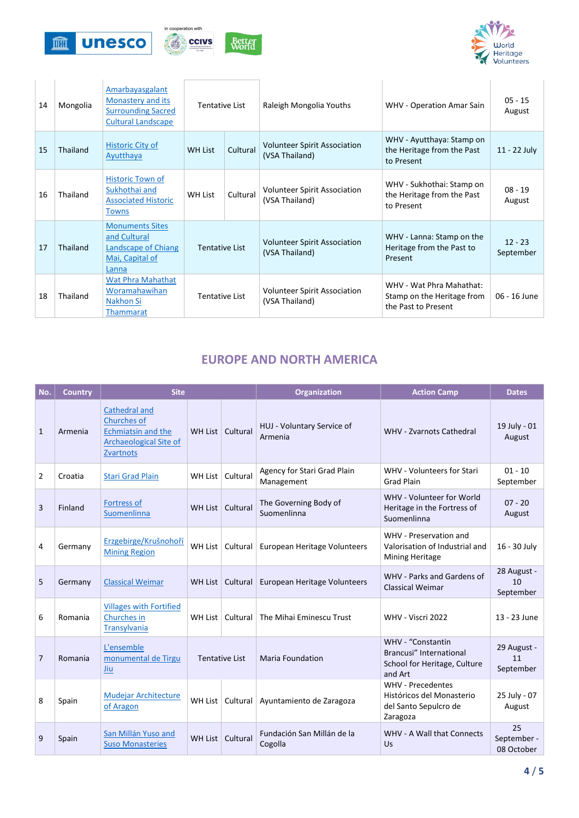



| 14 | Mongolia | Amarbayasgalant<br>Monastery and its<br><b>Surrounding Sacred</b><br><b>Cultural Landscape</b> | Tentative List             |          | Raleigh Mongolia Youths                               | <b>WHV</b> - Operation Amar Sain                                              | $05 - 15$<br>August    |
|----|----------|------------------------------------------------------------------------------------------------|----------------------------|----------|-------------------------------------------------------|-------------------------------------------------------------------------------|------------------------|
| 15 | Thailand | Historic City of<br>Ayutthaya                                                                  | Cultural<br><b>WH List</b> |          | <b>Volunteer Spirit Association</b><br>(VSA Thailand) | WHV - Ayutthaya: Stamp on<br>the Heritage from the Past<br>to Present         | 11 - 22 July           |
| 16 | Thailand | <b>Historic Town of</b><br>Sukhothai and<br><b>Associated Historic</b><br><b>Towns</b>         | <b>WH List</b>             | Cultural | Volunteer Spirit Association<br>(VSA Thailand)        | WHV - Sukhothai: Stamp on<br>the Heritage from the Past<br>to Present         | $08 - 19$<br>August    |
| 17 | Thailand | <b>Monuments Sites</b><br>and Cultural<br>Landscape of Chiang<br>Mai, Capital of<br>Lanna      | Tentative List             |          | <b>Volunteer Spirit Association</b><br>(VSA Thailand) | WHV - Lanna: Stamp on the<br>Heritage from the Past to<br>Present             | $12 - 23$<br>September |
| 18 | Thailand | Wat Phra Mahathat<br>Woramahawihan<br>Nakhon Si<br><b>Thammarat</b>                            | <b>Tentative List</b>      |          | <b>Volunteer Spirit Association</b><br>(VSA Thailand) | WHV - Wat Phra Mahathat:<br>Stamp on the Heritage from<br>the Past to Present | 06 - 16 June           |

## **EUROPE AND NORTH AMERICA**

| No.          | <b>Country</b> | <b>Site</b>                                                                                                           |                       |                    | Organization                              | <b>Action Camp</b>                                                                         | <b>Dates</b>                    |
|--------------|----------------|-----------------------------------------------------------------------------------------------------------------------|-----------------------|--------------------|-------------------------------------------|--------------------------------------------------------------------------------------------|---------------------------------|
| $\mathbf{1}$ | Armenia        | Cathedral and<br><b>Churches of</b><br><b>Echmiatsin and the</b><br><b>Archaeological Site of</b><br><b>Zvartnots</b> |                       | WH List   Cultural | HUJ - Voluntary Service of<br>Armenia     | <b>WHV - Zvarnots Cathedral</b>                                                            | 19 July - 01<br>August          |
| 2            | Croatia        | <b>Stari Grad Plain</b>                                                                                               | WH List               | Cultural           | Agency for Stari Grad Plain<br>Management | WHV - Volunteers for Stari<br><b>Grad Plain</b>                                            | $01 - 10$<br>September          |
| 3            | Finland        | <b>Fortress of</b><br>Suomenlinna                                                                                     |                       | WH List   Cultural | The Governing Body of<br>Suomenlinna      | WHV - Volunteer for World<br>Heritage in the Fortress of<br>Suomenlinna                    | $07 - 20$<br>August             |
| 4            | Germany        | Erzgebirge/Krušnohoří<br><b>Mining Region</b>                                                                         |                       | WH List   Cultural | European Heritage Volunteers              | WHV - Preservation and<br>Valorisation of Industrial and<br>Mining Heritage                | 16 - 30 July                    |
| 5            | Germany        | <b>Classical Weimar</b>                                                                                               |                       | WH List   Cultural | European Heritage Volunteers              | WHV - Parks and Gardens of<br><b>Classical Weimar</b>                                      | 28 August -<br>10<br>September  |
| 6            | Romania        | <b>Villages with Fortified</b><br>Churches in<br><b>Transylvania</b>                                                  |                       | WH List   Cultural | The Mihai Eminescu Trust                  | WHV - Viscri 2022                                                                          | 13 - 23 June                    |
| 7            | Romania        | L'ensemble<br>monumental de Tirgu<br>Jiu                                                                              | <b>Tentative List</b> |                    | <b>Maria Foundation</b>                   | WHV - "Constantin<br>Brancusi" International<br>School for Heritage, Culture<br>and Art    | 29 August -<br>11<br>September  |
| 8            | Spain          | <b>Mudejar Architecture</b><br>of Aragon                                                                              | WH List               | Cultural           | Ayuntamiento de Zaragoza                  | <b>WHV</b> - Precedentes<br>Históricos del Monasterio<br>del Santo Sepulcro de<br>Zaragoza | 25 July - 07<br>August          |
| 9            | Spain          | San Millán Yuso and<br><b>Suso Monasteries</b>                                                                        |                       | WH List   Cultural | Fundación San Millán de la<br>Cogolla     | <b>WHV - A Wall that Connects</b><br>Us                                                    | 25<br>September -<br>08 October |